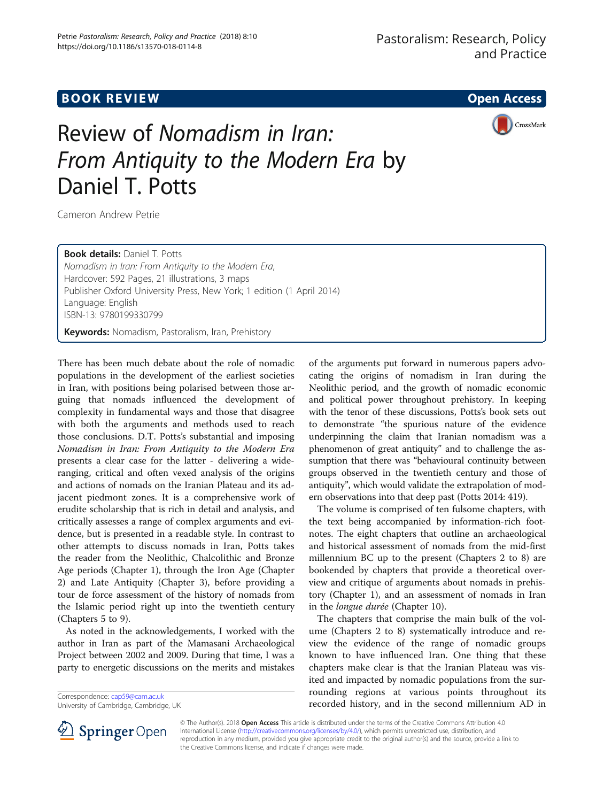# **BOOK REVIEW CONTROL** BOOK REVIEW

CrossMark

# Review of Nomadism in Iran: From Antiquity to the Modern Era by Daniel T. Potts

Cameron Andrew Petrie

Book details: Daniel T. Potts

Nomadism in Iran: From Antiquity to the Modern Era, Hardcover: 592 Pages, 21 illustrations, 3 maps Publisher Oxford University Press, New York; 1 edition (1 April 2014) Language: English ISBN-13: 9780199330799

Keywords: Nomadism, Pastoralism, Iran, Prehistory

There has been much debate about the role of nomadic populations in the development of the earliest societies in Iran, with positions being polarised between those arguing that nomads influenced the development of complexity in fundamental ways and those that disagree with both the arguments and methods used to reach those conclusions. D.T. Potts's substantial and imposing Nomadism in Iran: From Antiquity to the Modern Era presents a clear case for the latter - delivering a wideranging, critical and often vexed analysis of the origins and actions of nomads on the Iranian Plateau and its adjacent piedmont zones. It is a comprehensive work of erudite scholarship that is rich in detail and analysis, and critically assesses a range of complex arguments and evidence, but is presented in a readable style. In contrast to other attempts to discuss nomads in Iran, Potts takes the reader from the Neolithic, Chalcolithic and Bronze Age periods (Chapter 1), through the Iron Age (Chapter 2) and Late Antiquity (Chapter 3), before providing a tour de force assessment of the history of nomads from the Islamic period right up into the twentieth century (Chapters 5 to 9).

As noted in the acknowledgements, I worked with the author in Iran as part of the Mamasani Archaeological Project between 2002 and 2009. During that time, I was a party to energetic discussions on the merits and mistakes

University of Cambridge, Cambridge, UK

of the arguments put forward in numerous papers advocating the origins of nomadism in Iran during the Neolithic period, and the growth of nomadic economic and political power throughout prehistory. In keeping with the tenor of these discussions, Potts's book sets out to demonstrate "the spurious nature of the evidence underpinning the claim that Iranian nomadism was a phenomenon of great antiquity" and to challenge the assumption that there was "behavioural continuity between groups observed in the twentieth century and those of antiquity", which would validate the extrapolation of modern observations into that deep past (Potts 2014: 419).

The volume is comprised of ten fulsome chapters, with the text being accompanied by information-rich footnotes. The eight chapters that outline an archaeological and historical assessment of nomads from the mid-first millennium BC up to the present (Chapters 2 to 8) are bookended by chapters that provide a theoretical overview and critique of arguments about nomads in prehistory (Chapter 1), and an assessment of nomads in Iran in the longue durée (Chapter 10).

The chapters that comprise the main bulk of the volume (Chapters 2 to 8) systematically introduce and review the evidence of the range of nomadic groups known to have influenced Iran. One thing that these chapters make clear is that the Iranian Plateau was visited and impacted by nomadic populations from the surrounding regions at various points throughout its Correspondence: [cap59@cam.ac.uk](mailto:cap59@cam.ac.uk)<br>
University of Cambridge, Cambridge, UK<br>
University of Cambridge, Cambridge, UK<br>
University of Cambridge, Cambridge, UK



© The Author(s). 2018 Open Access This article is distributed under the terms of the Creative Commons Attribution 4.0 International License ([http://creativecommons.org/licenses/by/4.0/\)](http://creativecommons.org/licenses/by/4.0/), which permits unrestricted use, distribution, and reproduction in any medium, provided you give appropriate credit to the original author(s) and the source, provide a link to the Creative Commons license, and indicate if changes were made.